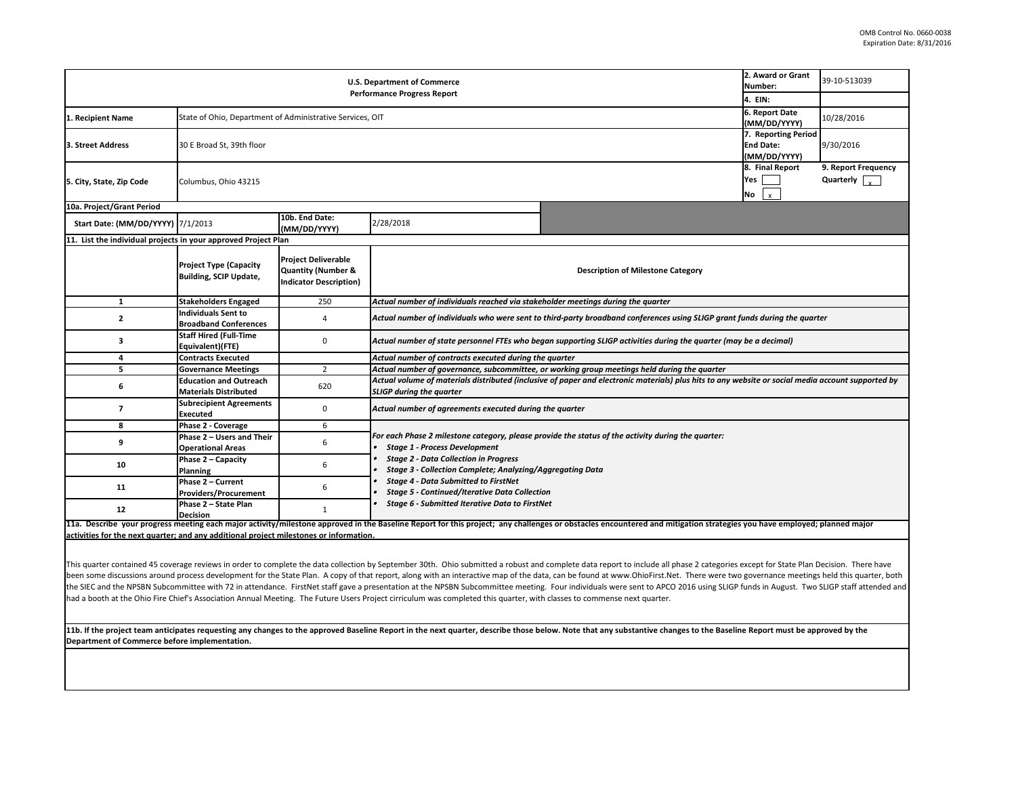11b. If the project team anticipates requesting any changes to the approved Baseline Report in the next quarter, describe those below. Note that any substantive **changes to the Baseline by the Baseline by the approvent** on **Department of Commerce before implementation.** 

|                                                                     | 2. Award or Grant<br>Number: | 39-10-513039                                                        |
|---------------------------------------------------------------------|------------------------------|---------------------------------------------------------------------|
|                                                                     | 4. EIN:                      |                                                                     |
|                                                                     | <b>6. Report Date</b>        |                                                                     |
|                                                                     | (MM/DD/YYYY)                 | 10/28/2016                                                          |
|                                                                     | 7. Reporting Period          |                                                                     |
|                                                                     | <b>End Date:</b>             | 9/30/2016                                                           |
|                                                                     | (MM/DD/YYYY)                 |                                                                     |
|                                                                     | 8. Final Report              | 9. Report Frequency                                                 |
|                                                                     | Yes                          | Quarterly                                                           |
|                                                                     | No<br>x                      |                                                                     |
|                                                                     |                              |                                                                     |
|                                                                     |                              |                                                                     |
|                                                                     |                              |                                                                     |
|                                                                     |                              |                                                                     |
| ne Category                                                         |                              |                                                                     |
|                                                                     |                              |                                                                     |
|                                                                     |                              |                                                                     |
| rter                                                                |                              |                                                                     |
| ces using SLIGP grant funds during the quarter                      |                              |                                                                     |
| luring the quarter (may be a decimal)                               |                              |                                                                     |
|                                                                     |                              |                                                                     |
| during the quarter                                                  |                              |                                                                     |
| ials) plus hits to any website or social media account supported by |                              |                                                                     |
|                                                                     |                              |                                                                     |
|                                                                     |                              |                                                                     |
| luring the quarter:                                                 |                              |                                                                     |
|                                                                     |                              |                                                                     |
|                                                                     |                              |                                                                     |
|                                                                     |                              |                                                                     |
|                                                                     |                              |                                                                     |
|                                                                     |                              |                                                                     |
|                                                                     |                              |                                                                     |
| d mitigation strategies you have employed; planned major            |                              |                                                                     |
|                                                                     |                              |                                                                     |
| all phase 2 categories except for State Plan Decision. There have   |                              |                                                                     |
| st.Net. There were two governance meetings held this quarter, both  |                              | APCO 2016 using SLIGP funds in August. Two SLIGP staff attended and |
| ter.                                                                |                              |                                                                     |
| changes to the Baseline Report must be approved by the              |                              |                                                                     |
|                                                                     |                              |                                                                     |
|                                                                     |                              |                                                                     |

| <b>U.S. Department of Commerce</b><br><b>Performance Progress Report</b> |                                                                |                                                                                              | 2. Award or Grant<br>Number:                                                                                     | 39-10-513039                                                                                                                                                                                                           |                                                         |                                                       |
|--------------------------------------------------------------------------|----------------------------------------------------------------|----------------------------------------------------------------------------------------------|------------------------------------------------------------------------------------------------------------------|------------------------------------------------------------------------------------------------------------------------------------------------------------------------------------------------------------------------|---------------------------------------------------------|-------------------------------------------------------|
|                                                                          |                                                                |                                                                                              | 4. EIN:                                                                                                          |                                                                                                                                                                                                                        |                                                         |                                                       |
| L. Recipient Name                                                        | State of Ohio, Department of Administrative Services, OIT      |                                                                                              |                                                                                                                  | 6. Report Date<br>(MM/DD/YYYY)                                                                                                                                                                                         | 10/28/2016                                              |                                                       |
| 3. Street Address                                                        | 30 E Broad St, 39th floor                                      |                                                                                              |                                                                                                                  |                                                                                                                                                                                                                        | 7. Reporting Period<br><b>End Date:</b><br>(MM/DD/YYYY) | 9/30/2016                                             |
| 5. City, State, Zip Code                                                 | Columbus, Ohio 43215                                           |                                                                                              |                                                                                                                  |                                                                                                                                                                                                                        | 8. Final Report<br>Yes<br>No<br>$\mathsf{x}$            | 9. Report Frequency<br>Quarterly $\sqrt{\frac{1}{x}}$ |
| 10a. Project/Grant Period                                                |                                                                |                                                                                              |                                                                                                                  |                                                                                                                                                                                                                        |                                                         |                                                       |
| <b>Start Date: (MM/DD/YYYY) 7/1/2013</b>                                 |                                                                | 10b. End Date:<br>(MM/DD/YYYY)                                                               | 2/28/2018                                                                                                        |                                                                                                                                                                                                                        |                                                         |                                                       |
| 11. List the individual projects in your approved Project Plan           |                                                                |                                                                                              |                                                                                                                  |                                                                                                                                                                                                                        |                                                         |                                                       |
|                                                                          | <b>Project Type (Capacity</b><br><b>Building, SCIP Update,</b> | <b>Project Deliverable</b><br><b>Quantity (Number &amp;</b><br><b>Indicator Description)</b> |                                                                                                                  | <b>Description of Milestone Category</b>                                                                                                                                                                               |                                                         |                                                       |
| 1                                                                        | <b>Stakeholders Engaged</b>                                    | 250                                                                                          | Actual number of individuals reached via stakeholder meetings during the quarter                                 |                                                                                                                                                                                                                        |                                                         |                                                       |
| $\mathbf{2}$                                                             | <b>Individuals Sent to</b><br><b>Broadband Conferences</b>     | 4                                                                                            |                                                                                                                  | Actual number of individuals who were sent to third-party broadband conferences using SLIGP grant funds during the quarter                                                                                             |                                                         |                                                       |
| 3                                                                        | <b>Staff Hired (Full-Time</b><br><b>Equivalent)(FTE)</b>       | 0                                                                                            |                                                                                                                  | Actual number of state personnel FTEs who began supporting SLIGP activities during the quarter (may be a decimal)                                                                                                      |                                                         |                                                       |
|                                                                          | <b>Contracts Executed</b>                                      |                                                                                              | Actual number of contracts executed during the quarter                                                           |                                                                                                                                                                                                                        |                                                         |                                                       |
| 5                                                                        | <b>Governance Meetings</b>                                     | $\overline{2}$                                                                               |                                                                                                                  | Actual number of governance, subcommittee, or working group meetings held during the quarter                                                                                                                           |                                                         |                                                       |
| 6                                                                        | <b>Education and Outreach</b><br><b>Materials Distributed</b>  | 620                                                                                          | <b>SLIGP during the quarter</b>                                                                                  | Actual volume of materials distributed (inclusive of paper and electronic materials) plus hits to any website or social media account supported by                                                                     |                                                         |                                                       |
|                                                                          | <b>Subrecipient Agreements</b><br><b>Executed</b>              | 0                                                                                            | Actual number of agreements executed during the quarter                                                          |                                                                                                                                                                                                                        |                                                         |                                                       |
| 8                                                                        | <b>Phase 2 - Coverage</b>                                      | 6                                                                                            |                                                                                                                  |                                                                                                                                                                                                                        |                                                         |                                                       |
|                                                                          | Phase 2 - Users and Their<br><b>Operational Areas</b>          | 6                                                                                            | <b>Stage 1 - Process Development</b>                                                                             | For each Phase 2 milestone category, please provide the status of the activity during the quarter:                                                                                                                     |                                                         |                                                       |
| 10                                                                       | <b>Phase <math>2 -</math> Capacity</b><br><b>Planning</b>      | 6                                                                                            | <b>Stage 2 - Data Collection in Progress</b><br><b>Stage 3 - Collection Complete; Analyzing/Aggregating Data</b> |                                                                                                                                                                                                                        |                                                         |                                                       |
| 11                                                                       | <b>Phase 2 - Current</b><br><b>Providers/Procurement</b>       | b                                                                                            | <b>Stage 4 - Data Submitted to FirstNet</b><br><b>Stage 5 - Continued/Iterative Data Collection</b>              |                                                                                                                                                                                                                        |                                                         |                                                       |
| 12                                                                       | Phase 2 - State Plan<br><b>Decision</b>                        |                                                                                              | <b>Stage 6 - Submitted Iterative Data to FirstNet</b>                                                            |                                                                                                                                                                                                                        |                                                         |                                                       |
|                                                                          |                                                                |                                                                                              |                                                                                                                  | 11a. Describe your progress meeting each major activity/milestone approved in the Baseline Report for this project; any challenges or obstacles encountered and mitigation strategies you have employed; planned major |                                                         |                                                       |

**activities for the next quarter; and any additional project milestones or information.** 

This quarter contained 45 coverage reviews in order to complete the data collection by September 30th. Ohio submitted a robust and complete data report to include been some discussions around process development for the State Plan. A copy of that report, along with an interactive map of the data, can be found at www.OhioFirs the SIEC and the NPSBN Subcommittee with 72 in attendance. FirstNet staff gave a presentation at the NPSBN Subcommittee meeting. Four individuals were sent to A had a booth at the Ohio Fire Chief's Association Annual Meeting. The Future Users Project cirriculum was completed this quarter, with classes to commense next quar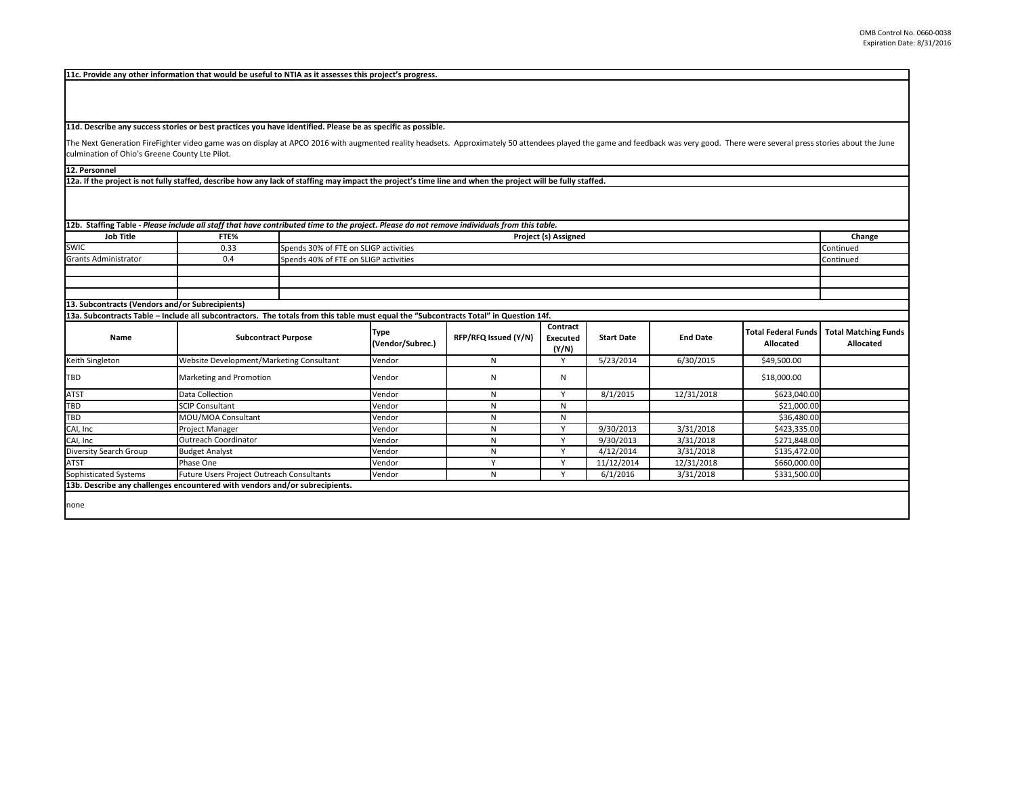The Next Generation FireFighter video game was on display at APCO 2016 with augmented reality headsets. Approximately 50 attendees played the game and feedback was very good. The were several press stories and the June the culmination of Ohio's Greene County Lte Pilot.

|                                                  |      | [12b. Staffing Table - Please include all staff that have contributed time to the project. Please do not remove individuals from this table. |           |
|--------------------------------------------------|------|----------------------------------------------------------------------------------------------------------------------------------------------|-----------|
| <b>Job Title</b>                                 | FTE% | <b>Project (s) Assigned</b>                                                                                                                  | Change    |
| <b>SWIC</b>                                      | 0.33 | Spends 30% of FTE on SLIGP activities                                                                                                        | Continued |
| <b>Grants Administrator</b>                      | 0.4  | Spends 40% of FTE on SLIGP activities                                                                                                        | Continued |
|                                                  |      |                                                                                                                                              |           |
|                                                  |      |                                                                                                                                              |           |
|                                                  |      |                                                                                                                                              |           |
| [13. Subcontracts (Vendors and/or Subrecipients) |      |                                                                                                                                              |           |

**12a. If the project is not fully staffed, describe how any lack of staffing may impact the project's time line and when the project will be fully staffed.**

**12. Personnel** 

| <b>Name</b>            | <b>Subcontract Purpose</b>                                                  | Type<br>(Vendor/Subrec.) | RFP/RFQ Issued (Y/N) | <b>Contract</b><br><b>Executed</b><br>(Y/N) | <b>Start Date</b> | <b>End Date</b> | Total Federal Funds<br><b>Allocated</b> |
|------------------------|-----------------------------------------------------------------------------|--------------------------|----------------------|---------------------------------------------|-------------------|-----------------|-----------------------------------------|
| Keith Singleton        | Website Development/Marketing Consultant                                    | Vendor                   |                      |                                             | 5/23/2014         | 6/30/2015       | \$49,500.00                             |
| <b>TBD</b>             | Marketing and Promotion                                                     | Vendor                   | N                    | N                                           |                   |                 | \$18,000.00                             |
| <b>ATST</b>            | Data Collection                                                             | Vendor                   | Ν                    |                                             | 8/1/2015          | 12/31/2018      | \$623,040.00                            |
| <b>TBD</b>             | <b>SCIP Consultant</b>                                                      | Vendor                   |                      | N                                           |                   |                 | \$21,000.00                             |
| <b>TBD</b>             | MOU/MOA Consultant                                                          | Vendor                   |                      | N                                           |                   |                 | \$36,480.00                             |
| CAI, Inc               | Project Manager                                                             | Vendor                   |                      |                                             | 9/30/2013         | 3/31/2018       | \$423,335.00                            |
| CAI, Inc               | <b>Outreach Coordinator</b>                                                 | Vendor                   |                      |                                             | 9/30/2013         | 3/31/2018       | \$271,848.00                            |
| Diversity Search Group | <b>Budget Analyst</b>                                                       | Vendor                   |                      |                                             | 4/12/2014         | 3/31/2018       | \$135,472.00                            |
| <b>ATST</b>            | Phase One                                                                   | Vendor                   |                      |                                             | 11/12/2014        | 12/31/2018      | \$660,000.00                            |
| Sophisticated Systems  | Future Users Project Outreach Consultants                                   | Vendor                   | N                    |                                             | 6/1/2016          | 3/31/2018       | \$331,500.00                            |
|                        | 13b. Describe any challenges encountered with vendors and/or subrecipients. |                          |                      |                                             |                   |                 |                                         |

**11d. Describe any success stories or best practices you have identified. Please be as specific as possible.**

## **11c. Provide any other information that would be useful to NTIA as it assesses this project's progress.**

**13a. Subcontracts Table – Include all subcontractors. The totals from this table must equal the "Subcontracts Total" in Question 14f.**

|                   |                 | ame and feedback was very good. There were several press stories about the June |                                                 |
|-------------------|-----------------|---------------------------------------------------------------------------------|-------------------------------------------------|
|                   |                 |                                                                                 |                                                 |
| d.                |                 |                                                                                 |                                                 |
|                   |                 |                                                                                 |                                                 |
|                   |                 |                                                                                 | Change                                          |
|                   |                 |                                                                                 | Continued                                       |
|                   |                 |                                                                                 | Continued                                       |
|                   |                 |                                                                                 |                                                 |
|                   |                 |                                                                                 |                                                 |
|                   |                 |                                                                                 |                                                 |
|                   |                 |                                                                                 |                                                 |
|                   |                 |                                                                                 |                                                 |
|                   |                 |                                                                                 |                                                 |
| <b>Start Date</b> | <b>End Date</b> | <b>Total Federal Funds</b><br><b>Allocated</b>                                  | <b>Total Matching Funds</b><br><b>Allocated</b> |
| 5/23/2014         | 6/30/2015       | \$49,500.00                                                                     |                                                 |
|                   |                 | \$18,000.00                                                                     |                                                 |
| 8/1/2015          | 12/31/2018      | \$623,040.00                                                                    |                                                 |
|                   |                 | \$21,000.00                                                                     |                                                 |
|                   |                 | \$36,480.00                                                                     |                                                 |
| 9/30/2013         | 3/31/2018       | \$423,335.00                                                                    |                                                 |
| 9/30/2013         | 3/31/2018       | \$271,848.00                                                                    |                                                 |
| 4/12/2014         | 3/31/2018       | \$135,472.00                                                                    |                                                 |
| 11/12/2014        | 12/31/2018      | \$660,000.00                                                                    |                                                 |

none